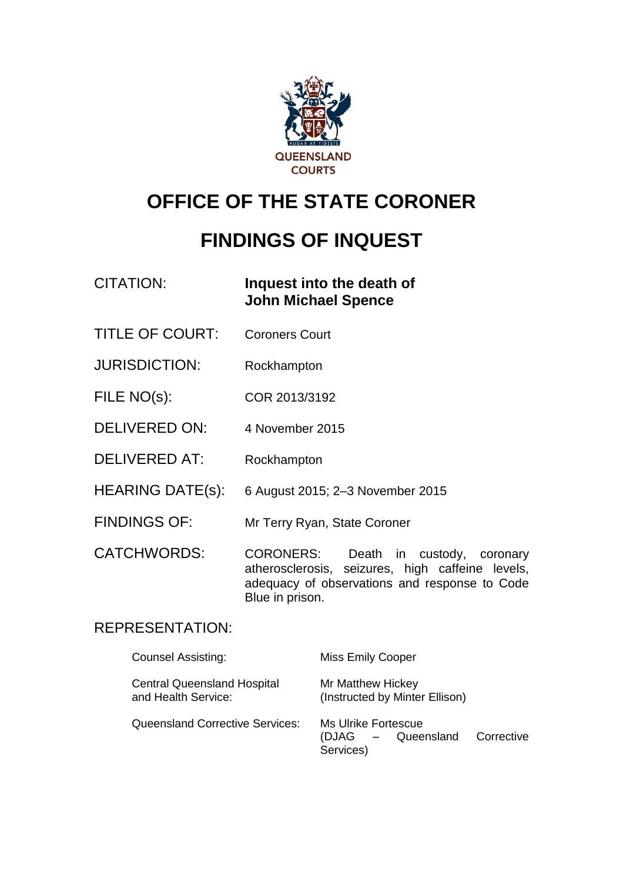

# **OFFICE OF THE STATE CORONER**

# **FINDINGS OF INQUEST**

CITATION: **Inquest into the death of John Michael Spence**

- TITLE OF COURT: Coroners Court
- JURISDICTION: Rockhampton
- FILE NO(s): COR 2013/3192
- DELIVERED ON: 4 November 2015
- DELIVERED AT: Rockhampton
- HEARING DATE(s): 6 August 2015; 2–3 November 2015
- FINDINGS OF: Mr Terry Ryan, State Coroner

CATCHWORDS: CORONERS: Death in custody, coronary atherosclerosis, seizures, high caffeine levels, adequacy of observations and response to Code Blue in prison.

## REPRESENTATION:

| <b>Counsel Assisting:</b>                                 | <b>Miss Emily Cooper</b>                               |            |
|-----------------------------------------------------------|--------------------------------------------------------|------------|
| <b>Central Queensland Hospital</b><br>and Health Service: | Mr Matthew Hickey<br>(Instructed by Minter Ellison)    |            |
| <b>Queensland Corrective Services:</b>                    | Ms Ulrike Fortescue<br>(DJAG – Queensland<br>Services) | Corrective |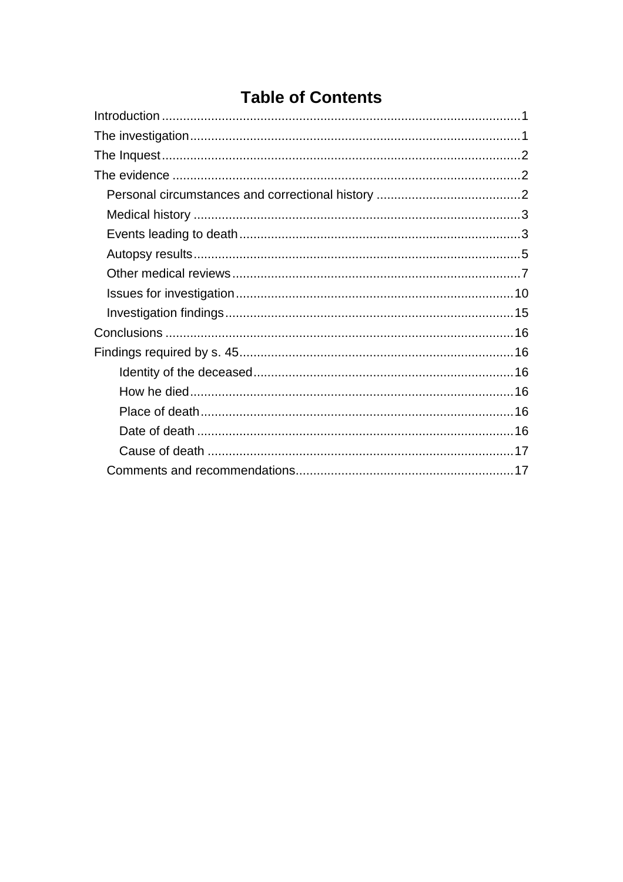## **Table of Contents**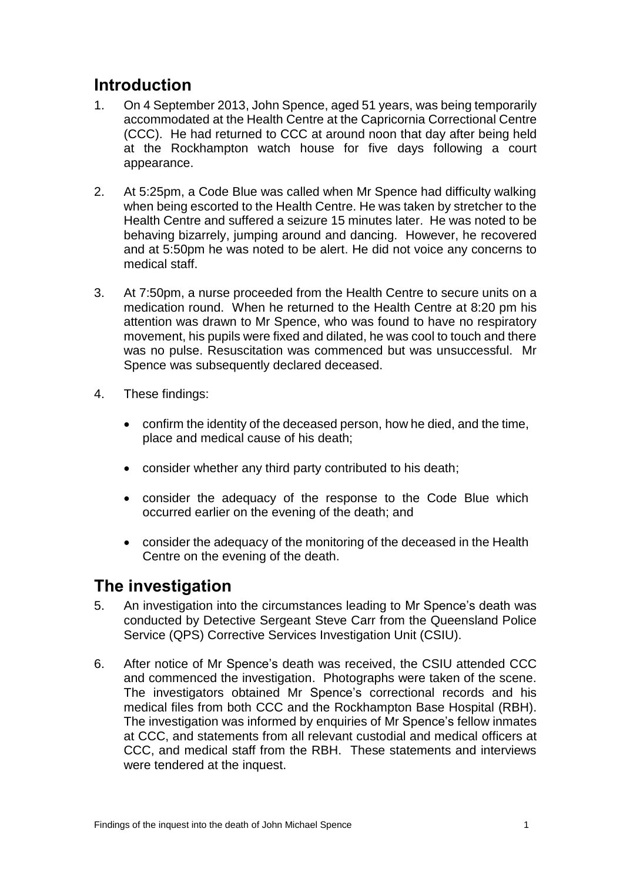## <span id="page-2-0"></span>**Introduction**

- 1. On 4 September 2013, John Spence, aged 51 years, was being temporarily accommodated at the Health Centre at the Capricornia Correctional Centre (CCC). He had returned to CCC at around noon that day after being held at the Rockhampton watch house for five days following a court appearance.
- 2. At 5:25pm, a Code Blue was called when Mr Spence had difficulty walking when being escorted to the Health Centre. He was taken by stretcher to the Health Centre and suffered a seizure 15 minutes later. He was noted to be behaving bizarrely, jumping around and dancing. However, he recovered and at 5:50pm he was noted to be alert. He did not voice any concerns to medical staff.
- 3. At 7:50pm, a nurse proceeded from the Health Centre to secure units on a medication round. When he returned to the Health Centre at 8:20 pm his attention was drawn to Mr Spence, who was found to have no respiratory movement, his pupils were fixed and dilated, he was cool to touch and there was no pulse. Resuscitation was commenced but was unsuccessful. Mr Spence was subsequently declared deceased.
- 4. These findings:
	- confirm the identity of the deceased person, how he died, and the time, place and medical cause of his death;
	- consider whether any third party contributed to his death;
	- consider the adequacy of the response to the Code Blue which occurred earlier on the evening of the death; and
	- consider the adequacy of the monitoring of the deceased in the Health Centre on the evening of the death.

## <span id="page-2-1"></span>**The investigation**

- 5. An investigation into the circumstances leading to Mr Spence's death was conducted by Detective Sergeant Steve Carr from the Queensland Police Service (QPS) Corrective Services Investigation Unit (CSIU).
- 6. After notice of Mr Spence's death was received, the CSIU attended CCC and commenced the investigation. Photographs were taken of the scene. The investigators obtained Mr Spence's correctional records and his medical files from both CCC and the Rockhampton Base Hospital (RBH). The investigation was informed by enquiries of Mr Spence's fellow inmates at CCC, and statements from all relevant custodial and medical officers at CCC, and medical staff from the RBH. These statements and interviews were tendered at the inquest.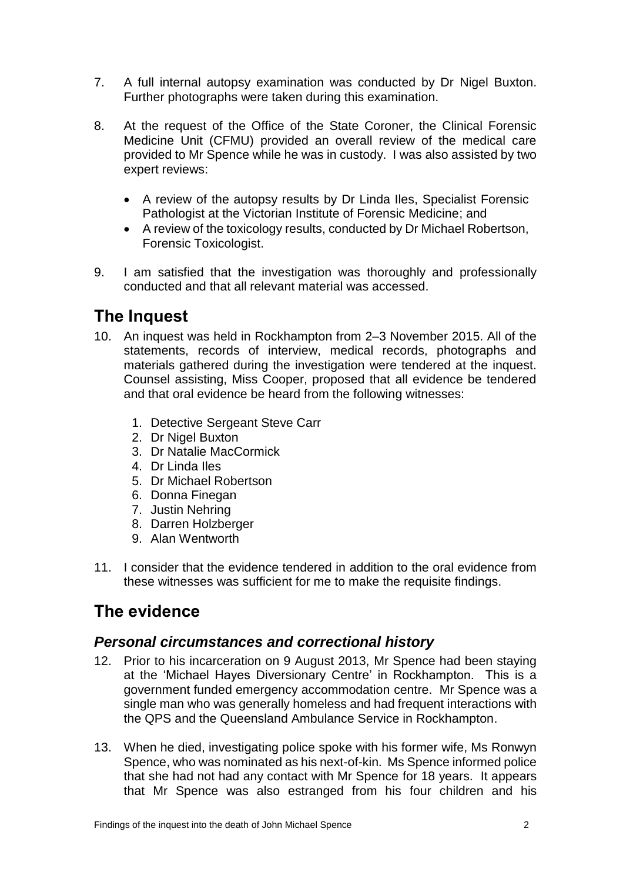- 7. A full internal autopsy examination was conducted by Dr Nigel Buxton. Further photographs were taken during this examination.
- 8. At the request of the Office of the State Coroner, the Clinical Forensic Medicine Unit (CFMU) provided an overall review of the medical care provided to Mr Spence while he was in custody. I was also assisted by two expert reviews:
	- A review of the autopsy results by Dr Linda Iles, Specialist Forensic Pathologist at the Victorian Institute of Forensic Medicine; and
	- A review of the toxicology results, conducted by Dr Michael Robertson, Forensic Toxicologist.
- 9. I am satisfied that the investigation was thoroughly and professionally conducted and that all relevant material was accessed.

## <span id="page-3-0"></span>**The Inquest**

- 10. An inquest was held in Rockhampton from 2–3 November 2015. All of the statements, records of interview, medical records, photographs and materials gathered during the investigation were tendered at the inquest. Counsel assisting, Miss Cooper, proposed that all evidence be tendered and that oral evidence be heard from the following witnesses:
	- 1. Detective Sergeant Steve Carr
	- 2. Dr Nigel Buxton
	- 3. Dr Natalie MacCormick
	- 4. Dr Linda Iles
	- 5. Dr Michael Robertson
	- 6. Donna Finegan
	- 7. Justin Nehring
	- 8. Darren Holzberger
	- 9. Alan Wentworth
- 11. I consider that the evidence tendered in addition to the oral evidence from these witnesses was sufficient for me to make the requisite findings.

## <span id="page-3-1"></span>**The evidence**

## <span id="page-3-2"></span>*Personal circumstances and correctional history*

- 12. Prior to his incarceration on 9 August 2013, Mr Spence had been staying at the 'Michael Hayes Diversionary Centre' in Rockhampton. This is a government funded emergency accommodation centre. Mr Spence was a single man who was generally homeless and had frequent interactions with the QPS and the Queensland Ambulance Service in Rockhampton.
- 13. When he died, investigating police spoke with his former wife, Ms Ronwyn Spence, who was nominated as his next-of-kin. Ms Spence informed police that she had not had any contact with Mr Spence for 18 years. It appears that Mr Spence was also estranged from his four children and his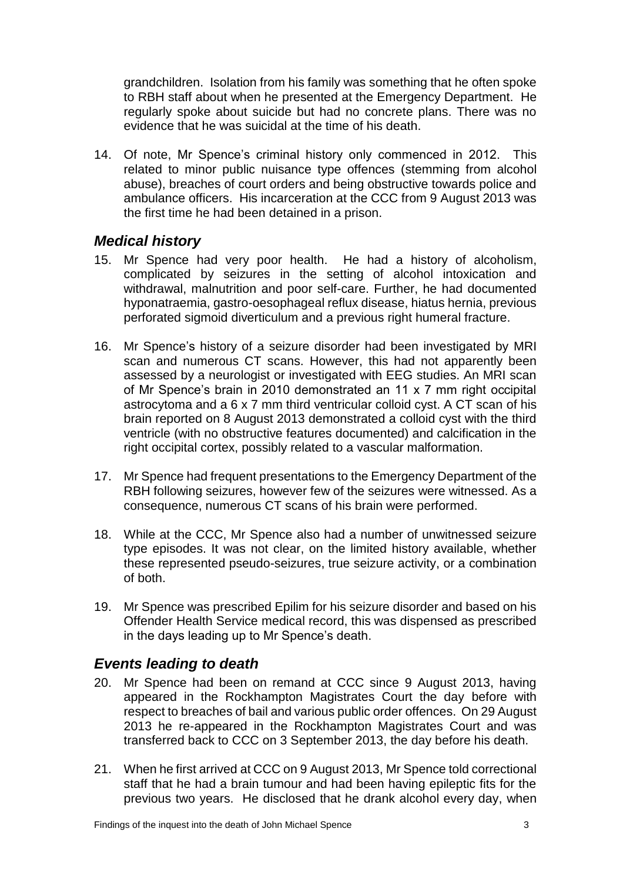grandchildren. Isolation from his family was something that he often spoke to RBH staff about when he presented at the Emergency Department. He regularly spoke about suicide but had no concrete plans. There was no evidence that he was suicidal at the time of his death.

14. Of note, Mr Spence's criminal history only commenced in 2012. This related to minor public nuisance type offences (stemming from alcohol abuse), breaches of court orders and being obstructive towards police and ambulance officers. His incarceration at the CCC from 9 August 2013 was the first time he had been detained in a prison.

### <span id="page-4-0"></span>*Medical history*

- 15. Mr Spence had very poor health. He had a history of alcoholism, complicated by seizures in the setting of alcohol intoxication and withdrawal, malnutrition and poor self-care. Further, he had documented hyponatraemia, gastro-oesophageal reflux disease, hiatus hernia, previous perforated sigmoid diverticulum and a previous right humeral fracture.
- 16. Mr Spence's history of a seizure disorder had been investigated by MRI scan and numerous CT scans. However, this had not apparently been assessed by a neurologist or investigated with EEG studies. An MRI scan of Mr Spence's brain in 2010 demonstrated an 11 x 7 mm right occipital astrocytoma and a 6 x 7 mm third ventricular colloid cyst. A CT scan of his brain reported on 8 August 2013 demonstrated a colloid cyst with the third ventricle (with no obstructive features documented) and calcification in the right occipital cortex, possibly related to a vascular malformation.
- 17. Mr Spence had frequent presentations to the Emergency Department of the RBH following seizures, however few of the seizures were witnessed. As a consequence, numerous CT scans of his brain were performed.
- 18. While at the CCC, Mr Spence also had a number of unwitnessed seizure type episodes. It was not clear, on the limited history available, whether these represented pseudo-seizures, true seizure activity, or a combination of both.
- 19. Mr Spence was prescribed Epilim for his seizure disorder and based on his Offender Health Service medical record, this was dispensed as prescribed in the days leading up to Mr Spence's death.

## <span id="page-4-1"></span>*Events leading to death*

- 20. Mr Spence had been on remand at CCC since 9 August 2013, having appeared in the Rockhampton Magistrates Court the day before with respect to breaches of bail and various public order offences. On 29 August 2013 he re-appeared in the Rockhampton Magistrates Court and was transferred back to CCC on 3 September 2013, the day before his death.
- 21. When he first arrived at CCC on 9 August 2013, Mr Spence told correctional staff that he had a brain tumour and had been having epileptic fits for the previous two years. He disclosed that he drank alcohol every day, when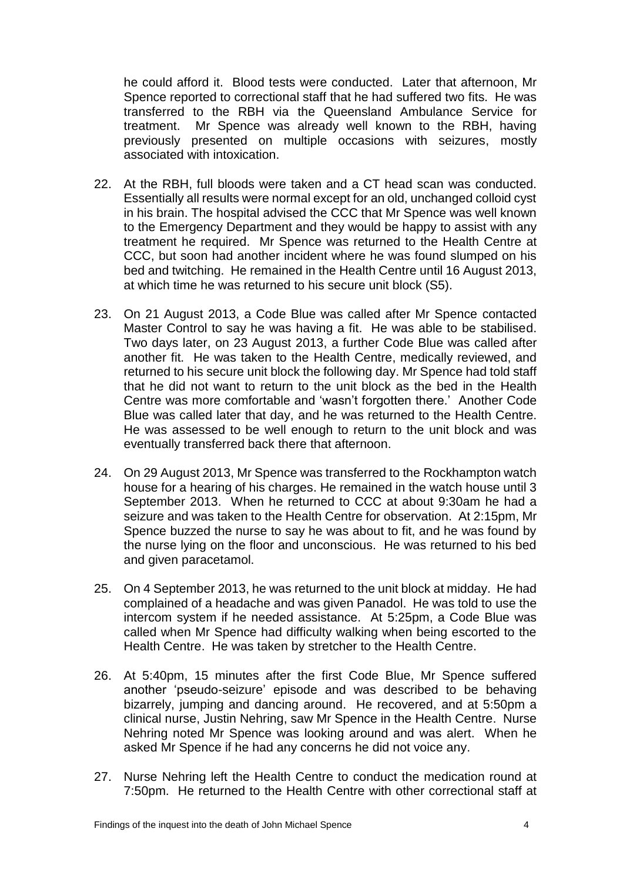he could afford it. Blood tests were conducted. Later that afternoon, Mr Spence reported to correctional staff that he had suffered two fits. He was transferred to the RBH via the Queensland Ambulance Service for treatment. Mr Spence was already well known to the RBH, having previously presented on multiple occasions with seizures, mostly associated with intoxication.

- 22. At the RBH, full bloods were taken and a CT head scan was conducted. Essentially all results were normal except for an old, unchanged colloid cyst in his brain. The hospital advised the CCC that Mr Spence was well known to the Emergency Department and they would be happy to assist with any treatment he required. Mr Spence was returned to the Health Centre at CCC, but soon had another incident where he was found slumped on his bed and twitching. He remained in the Health Centre until 16 August 2013, at which time he was returned to his secure unit block (S5).
- 23. On 21 August 2013, a Code Blue was called after Mr Spence contacted Master Control to say he was having a fit. He was able to be stabilised. Two days later, on 23 August 2013, a further Code Blue was called after another fit. He was taken to the Health Centre, medically reviewed, and returned to his secure unit block the following day. Mr Spence had told staff that he did not want to return to the unit block as the bed in the Health Centre was more comfortable and 'wasn't forgotten there.' Another Code Blue was called later that day, and he was returned to the Health Centre. He was assessed to be well enough to return to the unit block and was eventually transferred back there that afternoon.
- 24. On 29 August 2013, Mr Spence was transferred to the Rockhampton watch house for a hearing of his charges. He remained in the watch house until 3 September 2013. When he returned to CCC at about 9:30am he had a seizure and was taken to the Health Centre for observation. At 2:15pm, Mr Spence buzzed the nurse to say he was about to fit, and he was found by the nurse lying on the floor and unconscious. He was returned to his bed and given paracetamol.
- 25. On 4 September 2013, he was returned to the unit block at midday. He had complained of a headache and was given Panadol. He was told to use the intercom system if he needed assistance. At 5:25pm, a Code Blue was called when Mr Spence had difficulty walking when being escorted to the Health Centre. He was taken by stretcher to the Health Centre.
- 26. At 5:40pm, 15 minutes after the first Code Blue, Mr Spence suffered another 'pseudo-seizure' episode and was described to be behaving bizarrely, jumping and dancing around. He recovered, and at 5:50pm a clinical nurse, Justin Nehring, saw Mr Spence in the Health Centre. Nurse Nehring noted Mr Spence was looking around and was alert. When he asked Mr Spence if he had any concerns he did not voice any.
- 27. Nurse Nehring left the Health Centre to conduct the medication round at 7:50pm. He returned to the Health Centre with other correctional staff at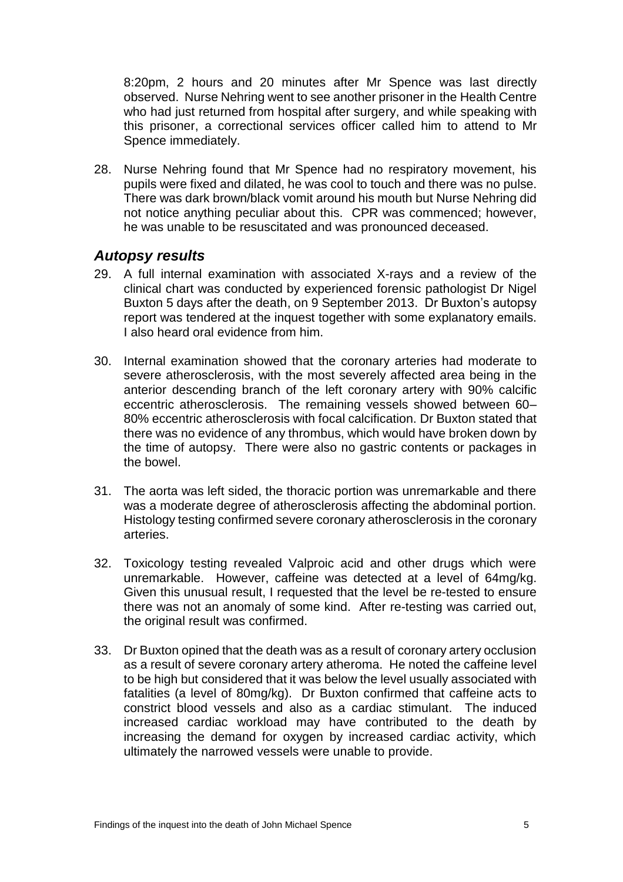8:20pm, 2 hours and 20 minutes after Mr Spence was last directly observed. Nurse Nehring went to see another prisoner in the Health Centre who had just returned from hospital after surgery, and while speaking with this prisoner, a correctional services officer called him to attend to Mr Spence immediately.

28. Nurse Nehring found that Mr Spence had no respiratory movement, his pupils were fixed and dilated, he was cool to touch and there was no pulse. There was dark brown/black vomit around his mouth but Nurse Nehring did not notice anything peculiar about this. CPR was commenced; however, he was unable to be resuscitated and was pronounced deceased.

### <span id="page-6-0"></span>*Autopsy results*

- 29. A full internal examination with associated X-rays and a review of the clinical chart was conducted by experienced forensic pathologist Dr Nigel Buxton 5 days after the death, on 9 September 2013. Dr Buxton's autopsy report was tendered at the inquest together with some explanatory emails. I also heard oral evidence from him.
- 30. Internal examination showed that the coronary arteries had moderate to severe atherosclerosis, with the most severely affected area being in the anterior descending branch of the left coronary artery with 90% calcific eccentric atherosclerosis. The remaining vessels showed between 60– 80% eccentric atherosclerosis with focal calcification. Dr Buxton stated that there was no evidence of any thrombus, which would have broken down by the time of autopsy. There were also no gastric contents or packages in the bowel.
- 31. The aorta was left sided, the thoracic portion was unremarkable and there was a moderate degree of atherosclerosis affecting the abdominal portion. Histology testing confirmed severe coronary atherosclerosis in the coronary arteries.
- 32. Toxicology testing revealed Valproic acid and other drugs which were unremarkable. However, caffeine was detected at a level of 64mg/kg. Given this unusual result, I requested that the level be re-tested to ensure there was not an anomaly of some kind. After re-testing was carried out, the original result was confirmed.
- 33. Dr Buxton opined that the death was as a result of coronary artery occlusion as a result of severe coronary artery atheroma. He noted the caffeine level to be high but considered that it was below the level usually associated with fatalities (a level of 80mg/kg). Dr Buxton confirmed that caffeine acts to constrict blood vessels and also as a cardiac stimulant. The induced increased cardiac workload may have contributed to the death by increasing the demand for oxygen by increased cardiac activity, which ultimately the narrowed vessels were unable to provide.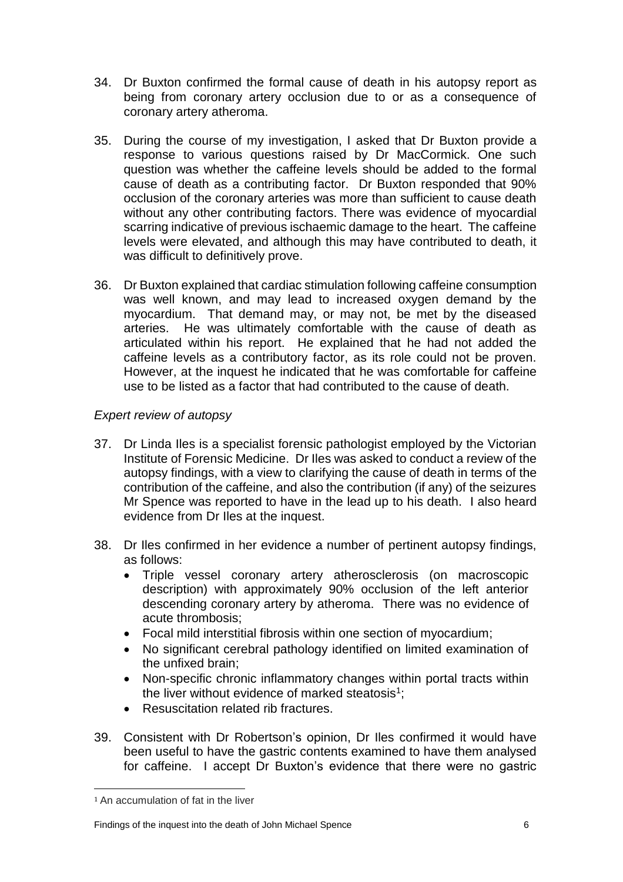- 34. Dr Buxton confirmed the formal cause of death in his autopsy report as being from coronary artery occlusion due to or as a consequence of coronary artery atheroma.
- 35. During the course of my investigation, I asked that Dr Buxton provide a response to various questions raised by Dr MacCormick. One such question was whether the caffeine levels should be added to the formal cause of death as a contributing factor. Dr Buxton responded that 90% occlusion of the coronary arteries was more than sufficient to cause death without any other contributing factors. There was evidence of myocardial scarring indicative of previous ischaemic damage to the heart. The caffeine levels were elevated, and although this may have contributed to death, it was difficult to definitively prove.
- 36. Dr Buxton explained that cardiac stimulation following caffeine consumption was well known, and may lead to increased oxygen demand by the myocardium. That demand may, or may not, be met by the diseased arteries. He was ultimately comfortable with the cause of death as articulated within his report. He explained that he had not added the caffeine levels as a contributory factor, as its role could not be proven. However, at the inquest he indicated that he was comfortable for caffeine use to be listed as a factor that had contributed to the cause of death.

#### *Expert review of autopsy*

- 37. Dr Linda Iles is a specialist forensic pathologist employed by the Victorian Institute of Forensic Medicine. Dr Iles was asked to conduct a review of the autopsy findings, with a view to clarifying the cause of death in terms of the contribution of the caffeine, and also the contribution (if any) of the seizures Mr Spence was reported to have in the lead up to his death. I also heard evidence from Dr Iles at the inquest.
- 38. Dr Iles confirmed in her evidence a number of pertinent autopsy findings, as follows:
	- Triple vessel coronary artery atherosclerosis (on macroscopic description) with approximately 90% occlusion of the left anterior descending coronary artery by atheroma. There was no evidence of acute thrombosis;
	- Focal mild interstitial fibrosis within one section of myocardium;
	- No significant cerebral pathology identified on limited examination of the unfixed brain;
	- Non-specific chronic inflammatory changes within portal tracts within the liver without evidence of marked steatosis<sup>1</sup>;
	- Resuscitation related rib fractures.
- 39. Consistent with Dr Robertson's opinion, Dr Iles confirmed it would have been useful to have the gastric contents examined to have them analysed for caffeine. I accept Dr Buxton's evidence that there were no gastric

 $\overline{a}$ 

<sup>1</sup> An accumulation of fat in the liver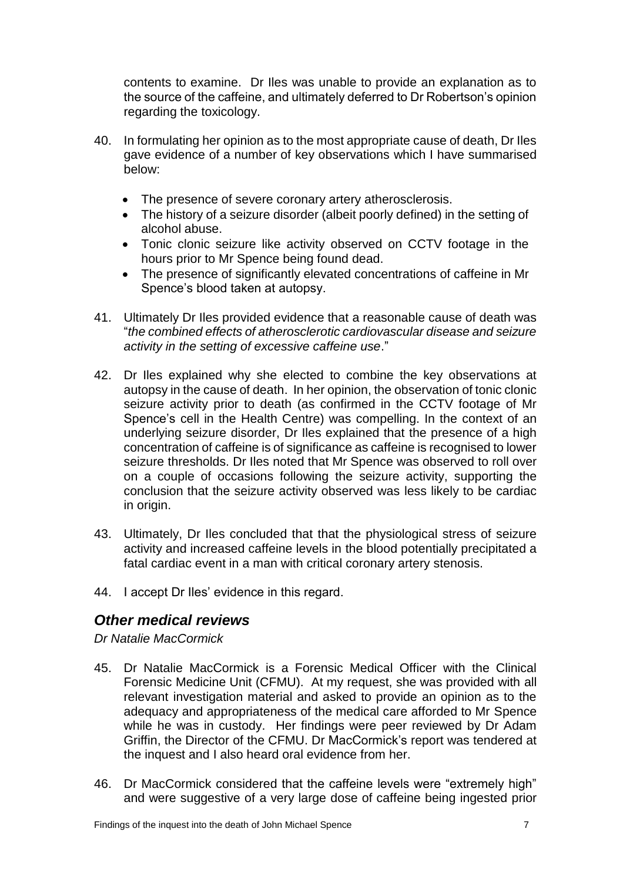contents to examine. Dr Iles was unable to provide an explanation as to the source of the caffeine, and ultimately deferred to Dr Robertson's opinion regarding the toxicology.

- 40. In formulating her opinion as to the most appropriate cause of death, Dr Iles gave evidence of a number of key observations which I have summarised below:
	- The presence of severe coronary artery atherosclerosis.
	- The history of a seizure disorder (albeit poorly defined) in the setting of alcohol abuse.
	- Tonic clonic seizure like activity observed on CCTV footage in the hours prior to Mr Spence being found dead.
	- The presence of significantly elevated concentrations of caffeine in Mr Spence's blood taken at autopsy.
- 41. Ultimately Dr Iles provided evidence that a reasonable cause of death was "*the combined effects of atherosclerotic cardiovascular disease and seizure activity in the setting of excessive caffeine use*."
- 42. Dr Iles explained why she elected to combine the key observations at autopsy in the cause of death. In her opinion, the observation of tonic clonic seizure activity prior to death (as confirmed in the CCTV footage of Mr Spence's cell in the Health Centre) was compelling. In the context of an underlying seizure disorder, Dr Iles explained that the presence of a high concentration of caffeine is of significance as caffeine is recognised to lower seizure thresholds. Dr Iles noted that Mr Spence was observed to roll over on a couple of occasions following the seizure activity, supporting the conclusion that the seizure activity observed was less likely to be cardiac in origin.
- 43. Ultimately, Dr Iles concluded that that the physiological stress of seizure activity and increased caffeine levels in the blood potentially precipitated a fatal cardiac event in a man with critical coronary artery stenosis.
- 44. I accept Dr Iles' evidence in this regard.

## <span id="page-8-0"></span>*Other medical reviews*

*Dr Natalie MacCormick*

- 45. Dr Natalie MacCormick is a Forensic Medical Officer with the Clinical Forensic Medicine Unit (CFMU). At my request, she was provided with all relevant investigation material and asked to provide an opinion as to the adequacy and appropriateness of the medical care afforded to Mr Spence while he was in custody. Her findings were peer reviewed by Dr Adam Griffin, the Director of the CFMU. Dr MacCormick's report was tendered at the inquest and I also heard oral evidence from her.
- 46. Dr MacCormick considered that the caffeine levels were "extremely high" and were suggestive of a very large dose of caffeine being ingested prior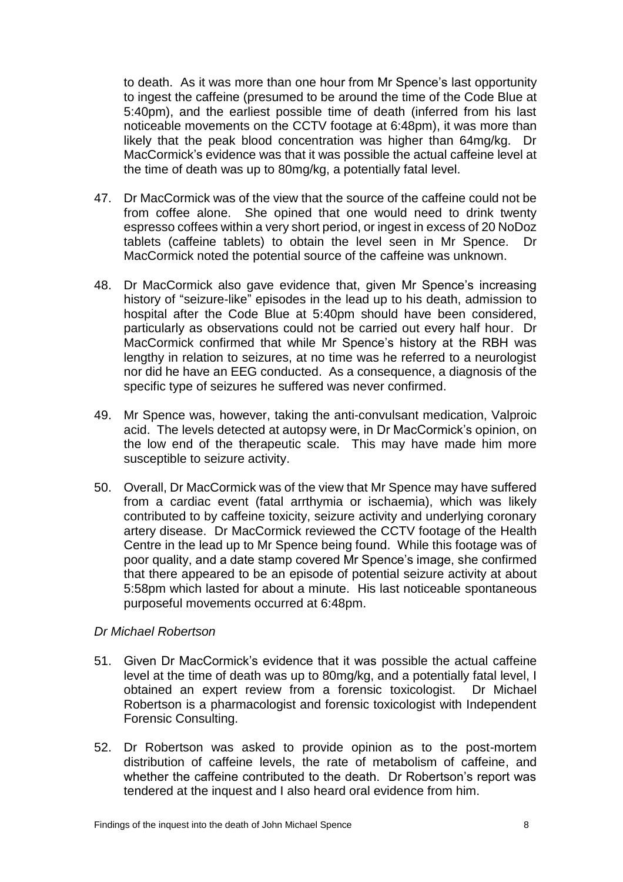to death. As it was more than one hour from Mr Spence's last opportunity to ingest the caffeine (presumed to be around the time of the Code Blue at 5:40pm), and the earliest possible time of death (inferred from his last noticeable movements on the CCTV footage at 6:48pm), it was more than likely that the peak blood concentration was higher than 64mg/kg. Dr MacCormick's evidence was that it was possible the actual caffeine level at the time of death was up to 80mg/kg, a potentially fatal level.

- 47. Dr MacCormick was of the view that the source of the caffeine could not be from coffee alone. She opined that one would need to drink twenty espresso coffees within a very short period, or ingest in excess of 20 NoDoz tablets (caffeine tablets) to obtain the level seen in Mr Spence. Dr MacCormick noted the potential source of the caffeine was unknown.
- 48. Dr MacCormick also gave evidence that, given Mr Spence's increasing history of "seizure-like" episodes in the lead up to his death, admission to hospital after the Code Blue at 5:40pm should have been considered, particularly as observations could not be carried out every half hour. Dr MacCormick confirmed that while Mr Spence's history at the RBH was lengthy in relation to seizures, at no time was he referred to a neurologist nor did he have an EEG conducted. As a consequence, a diagnosis of the specific type of seizures he suffered was never confirmed.
- 49. Mr Spence was, however, taking the anti-convulsant medication, Valproic acid. The levels detected at autopsy were, in Dr MacCormick's opinion, on the low end of the therapeutic scale. This may have made him more susceptible to seizure activity.
- 50. Overall, Dr MacCormick was of the view that Mr Spence may have suffered from a cardiac event (fatal arrthymia or ischaemia), which was likely contributed to by caffeine toxicity, seizure activity and underlying coronary artery disease. Dr MacCormick reviewed the CCTV footage of the Health Centre in the lead up to Mr Spence being found. While this footage was of poor quality, and a date stamp covered Mr Spence's image, she confirmed that there appeared to be an episode of potential seizure activity at about 5:58pm which lasted for about a minute. His last noticeable spontaneous purposeful movements occurred at 6:48pm.

#### *Dr Michael Robertson*

- 51. Given Dr MacCormick's evidence that it was possible the actual caffeine level at the time of death was up to 80mg/kg, and a potentially fatal level, I obtained an expert review from a forensic toxicologist. Dr Michael Robertson is a pharmacologist and forensic toxicologist with Independent Forensic Consulting.
- 52. Dr Robertson was asked to provide opinion as to the post-mortem distribution of caffeine levels, the rate of metabolism of caffeine, and whether the caffeine contributed to the death. Dr Robertson's report was tendered at the inquest and I also heard oral evidence from him.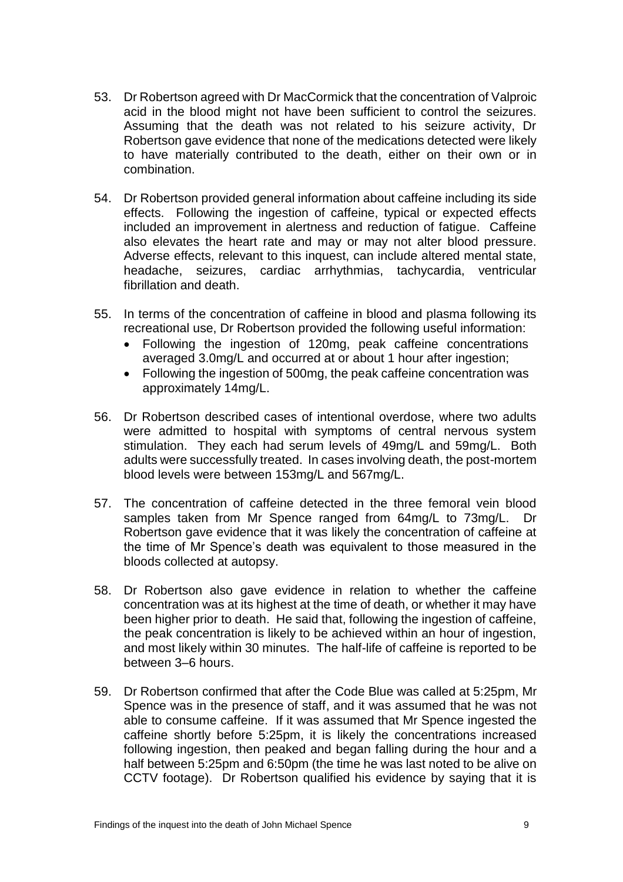- 53. Dr Robertson agreed with Dr MacCormick that the concentration of Valproic acid in the blood might not have been sufficient to control the seizures. Assuming that the death was not related to his seizure activity, Dr Robertson gave evidence that none of the medications detected were likely to have materially contributed to the death, either on their own or in combination.
- 54. Dr Robertson provided general information about caffeine including its side effects. Following the ingestion of caffeine, typical or expected effects included an improvement in alertness and reduction of fatigue. Caffeine also elevates the heart rate and may or may not alter blood pressure. Adverse effects, relevant to this inquest, can include altered mental state, headache, seizures, cardiac arrhythmias, tachycardia, ventricular fibrillation and death.
- 55. In terms of the concentration of caffeine in blood and plasma following its recreational use, Dr Robertson provided the following useful information:
	- Following the ingestion of 120mg, peak caffeine concentrations averaged 3.0mg/L and occurred at or about 1 hour after ingestion;
	- Following the ingestion of 500mg, the peak caffeine concentration was approximately 14mg/L.
- 56. Dr Robertson described cases of intentional overdose, where two adults were admitted to hospital with symptoms of central nervous system stimulation. They each had serum levels of 49mg/L and 59mg/L. Both adults were successfully treated. In cases involving death, the post-mortem blood levels were between 153mg/L and 567mg/L.
- 57. The concentration of caffeine detected in the three femoral vein blood samples taken from Mr Spence ranged from 64mg/L to 73mg/L. Dr Robertson gave evidence that it was likely the concentration of caffeine at the time of Mr Spence's death was equivalent to those measured in the bloods collected at autopsy.
- 58. Dr Robertson also gave evidence in relation to whether the caffeine concentration was at its highest at the time of death, or whether it may have been higher prior to death. He said that, following the ingestion of caffeine, the peak concentration is likely to be achieved within an hour of ingestion, and most likely within 30 minutes. The half-life of caffeine is reported to be between 3–6 hours.
- 59. Dr Robertson confirmed that after the Code Blue was called at 5:25pm, Mr Spence was in the presence of staff, and it was assumed that he was not able to consume caffeine. If it was assumed that Mr Spence ingested the caffeine shortly before 5:25pm, it is likely the concentrations increased following ingestion, then peaked and began falling during the hour and a half between 5:25pm and 6:50pm (the time he was last noted to be alive on CCTV footage). Dr Robertson qualified his evidence by saying that it is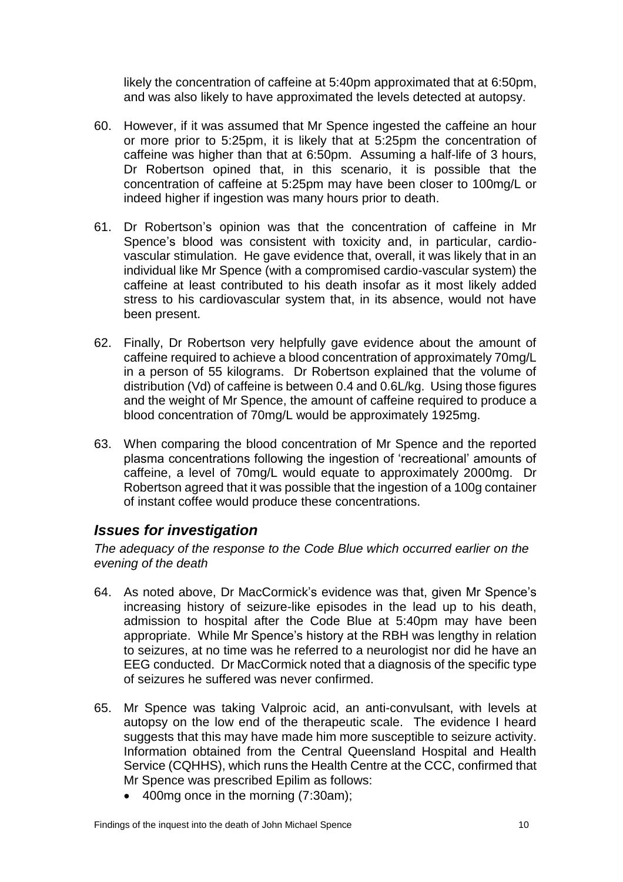likely the concentration of caffeine at 5:40pm approximated that at 6:50pm, and was also likely to have approximated the levels detected at autopsy.

- 60. However, if it was assumed that Mr Spence ingested the caffeine an hour or more prior to 5:25pm, it is likely that at 5:25pm the concentration of caffeine was higher than that at 6:50pm. Assuming a half-life of 3 hours, Dr Robertson opined that, in this scenario, it is possible that the concentration of caffeine at 5:25pm may have been closer to 100mg/L or indeed higher if ingestion was many hours prior to death.
- 61. Dr Robertson's opinion was that the concentration of caffeine in Mr Spence's blood was consistent with toxicity and, in particular, cardiovascular stimulation. He gave evidence that, overall, it was likely that in an individual like Mr Spence (with a compromised cardio-vascular system) the caffeine at least contributed to his death insofar as it most likely added stress to his cardiovascular system that, in its absence, would not have been present.
- 62. Finally, Dr Robertson very helpfully gave evidence about the amount of caffeine required to achieve a blood concentration of approximately 70mg/L in a person of 55 kilograms. Dr Robertson explained that the volume of distribution (Vd) of caffeine is between 0.4 and 0.6L/kg. Using those figures and the weight of Mr Spence, the amount of caffeine required to produce a blood concentration of 70mg/L would be approximately 1925mg.
- 63. When comparing the blood concentration of Mr Spence and the reported plasma concentrations following the ingestion of 'recreational' amounts of caffeine, a level of 70mg/L would equate to approximately 2000mg. Dr Robertson agreed that it was possible that the ingestion of a 100g container of instant coffee would produce these concentrations.

### <span id="page-11-0"></span>*Issues for investigation*

*The adequacy of the response to the Code Blue which occurred earlier on the evening of the death*

- 64. As noted above, Dr MacCormick's evidence was that, given Mr Spence's increasing history of seizure-like episodes in the lead up to his death, admission to hospital after the Code Blue at 5:40pm may have been appropriate. While Mr Spence's history at the RBH was lengthy in relation to seizures, at no time was he referred to a neurologist nor did he have an EEG conducted. Dr MacCormick noted that a diagnosis of the specific type of seizures he suffered was never confirmed.
- 65. Mr Spence was taking Valproic acid, an anti-convulsant, with levels at autopsy on the low end of the therapeutic scale. The evidence I heard suggests that this may have made him more susceptible to seizure activity. Information obtained from the Central Queensland Hospital and Health Service (CQHHS), which runs the Health Centre at the CCC, confirmed that Mr Spence was prescribed Epilim as follows:
	- 400mg once in the morning (7:30am);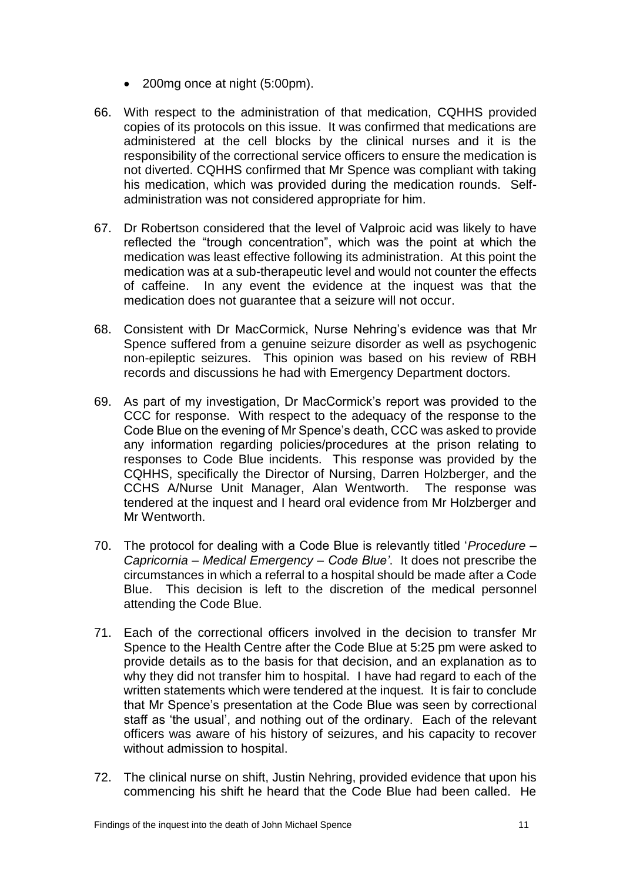- 200mg once at night (5:00pm).
- 66. With respect to the administration of that medication, CQHHS provided copies of its protocols on this issue. It was confirmed that medications are administered at the cell blocks by the clinical nurses and it is the responsibility of the correctional service officers to ensure the medication is not diverted. CQHHS confirmed that Mr Spence was compliant with taking his medication, which was provided during the medication rounds. Selfadministration was not considered appropriate for him.
- 67. Dr Robertson considered that the level of Valproic acid was likely to have reflected the "trough concentration", which was the point at which the medication was least effective following its administration. At this point the medication was at a sub-therapeutic level and would not counter the effects of caffeine. In any event the evidence at the inquest was that the medication does not guarantee that a seizure will not occur.
- 68. Consistent with Dr MacCormick, Nurse Nehring's evidence was that Mr Spence suffered from a genuine seizure disorder as well as psychogenic non-epileptic seizures. This opinion was based on his review of RBH records and discussions he had with Emergency Department doctors.
- 69. As part of my investigation, Dr MacCormick's report was provided to the CCC for response. With respect to the adequacy of the response to the Code Blue on the evening of Mr Spence's death, CCC was asked to provide any information regarding policies/procedures at the prison relating to responses to Code Blue incidents. This response was provided by the CQHHS, specifically the Director of Nursing, Darren Holzberger, and the CCHS A/Nurse Unit Manager, Alan Wentworth. The response was tendered at the inquest and I heard oral evidence from Mr Holzberger and Mr Wentworth.
- 70. The protocol for dealing with a Code Blue is relevantly titled '*Procedure – Capricornia – Medical Emergency – Code Blue'*. It does not prescribe the circumstances in which a referral to a hospital should be made after a Code Blue. This decision is left to the discretion of the medical personnel attending the Code Blue.
- 71. Each of the correctional officers involved in the decision to transfer Mr Spence to the Health Centre after the Code Blue at 5:25 pm were asked to provide details as to the basis for that decision, and an explanation as to why they did not transfer him to hospital. I have had regard to each of the written statements which were tendered at the inquest. It is fair to conclude that Mr Spence's presentation at the Code Blue was seen by correctional staff as 'the usual', and nothing out of the ordinary. Each of the relevant officers was aware of his history of seizures, and his capacity to recover without admission to hospital.
- 72. The clinical nurse on shift, Justin Nehring, provided evidence that upon his commencing his shift he heard that the Code Blue had been called. He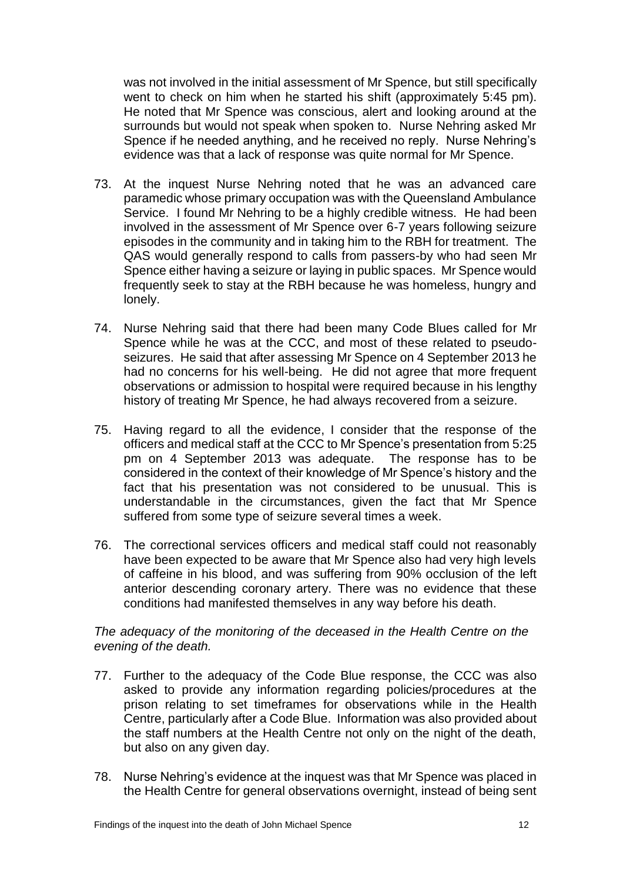was not involved in the initial assessment of Mr Spence, but still specifically went to check on him when he started his shift (approximately 5:45 pm). He noted that Mr Spence was conscious, alert and looking around at the surrounds but would not speak when spoken to. Nurse Nehring asked Mr Spence if he needed anything, and he received no reply. Nurse Nehring's evidence was that a lack of response was quite normal for Mr Spence.

- 73. At the inquest Nurse Nehring noted that he was an advanced care paramedic whose primary occupation was with the Queensland Ambulance Service. I found Mr Nehring to be a highly credible witness. He had been involved in the assessment of Mr Spence over 6-7 years following seizure episodes in the community and in taking him to the RBH for treatment. The QAS would generally respond to calls from passers-by who had seen Mr Spence either having a seizure or laying in public spaces. Mr Spence would frequently seek to stay at the RBH because he was homeless, hungry and lonely.
- 74. Nurse Nehring said that there had been many Code Blues called for Mr Spence while he was at the CCC, and most of these related to pseudoseizures. He said that after assessing Mr Spence on 4 September 2013 he had no concerns for his well-being. He did not agree that more frequent observations or admission to hospital were required because in his lengthy history of treating Mr Spence, he had always recovered from a seizure.
- 75. Having regard to all the evidence, I consider that the response of the officers and medical staff at the CCC to Mr Spence's presentation from 5:25 pm on 4 September 2013 was adequate. The response has to be considered in the context of their knowledge of Mr Spence's history and the fact that his presentation was not considered to be unusual. This is understandable in the circumstances, given the fact that Mr Spence suffered from some type of seizure several times a week.
- 76. The correctional services officers and medical staff could not reasonably have been expected to be aware that Mr Spence also had very high levels of caffeine in his blood, and was suffering from 90% occlusion of the left anterior descending coronary artery. There was no evidence that these conditions had manifested themselves in any way before his death.

#### *The adequacy of the monitoring of the deceased in the Health Centre on the evening of the death.*

- 77. Further to the adequacy of the Code Blue response, the CCC was also asked to provide any information regarding policies/procedures at the prison relating to set timeframes for observations while in the Health Centre, particularly after a Code Blue. Information was also provided about the staff numbers at the Health Centre not only on the night of the death, but also on any given day.
- 78. Nurse Nehring's evidence at the inquest was that Mr Spence was placed in the Health Centre for general observations overnight, instead of being sent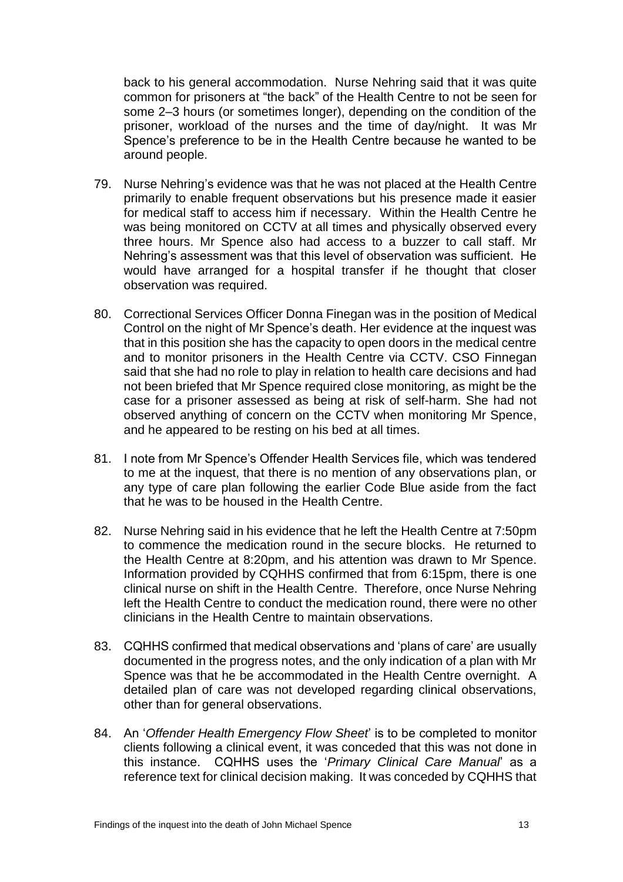back to his general accommodation. Nurse Nehring said that it was quite common for prisoners at "the back" of the Health Centre to not be seen for some 2–3 hours (or sometimes longer), depending on the condition of the prisoner, workload of the nurses and the time of day/night. It was Mr Spence's preference to be in the Health Centre because he wanted to be around people.

- 79. Nurse Nehring's evidence was that he was not placed at the Health Centre primarily to enable frequent observations but his presence made it easier for medical staff to access him if necessary. Within the Health Centre he was being monitored on CCTV at all times and physically observed every three hours. Mr Spence also had access to a buzzer to call staff. Mr Nehring's assessment was that this level of observation was sufficient. He would have arranged for a hospital transfer if he thought that closer observation was required.
- 80. Correctional Services Officer Donna Finegan was in the position of Medical Control on the night of Mr Spence's death. Her evidence at the inquest was that in this position she has the capacity to open doors in the medical centre and to monitor prisoners in the Health Centre via CCTV. CSO Finnegan said that she had no role to play in relation to health care decisions and had not been briefed that Mr Spence required close monitoring, as might be the case for a prisoner assessed as being at risk of self-harm. She had not observed anything of concern on the CCTV when monitoring Mr Spence, and he appeared to be resting on his bed at all times.
- 81. I note from Mr Spence's Offender Health Services file, which was tendered to me at the inquest, that there is no mention of any observations plan, or any type of care plan following the earlier Code Blue aside from the fact that he was to be housed in the Health Centre.
- 82. Nurse Nehring said in his evidence that he left the Health Centre at 7:50pm to commence the medication round in the secure blocks. He returned to the Health Centre at 8:20pm, and his attention was drawn to Mr Spence. Information provided by CQHHS confirmed that from 6:15pm, there is one clinical nurse on shift in the Health Centre. Therefore, once Nurse Nehring left the Health Centre to conduct the medication round, there were no other clinicians in the Health Centre to maintain observations.
- 83. CQHHS confirmed that medical observations and 'plans of care' are usually documented in the progress notes, and the only indication of a plan with Mr Spence was that he be accommodated in the Health Centre overnight. A detailed plan of care was not developed regarding clinical observations, other than for general observations.
- 84. An '*Offender Health Emergency Flow Sheet*' is to be completed to monitor clients following a clinical event, it was conceded that this was not done in this instance. CQHHS uses the '*Primary Clinical Care Manual*' as a reference text for clinical decision making. It was conceded by CQHHS that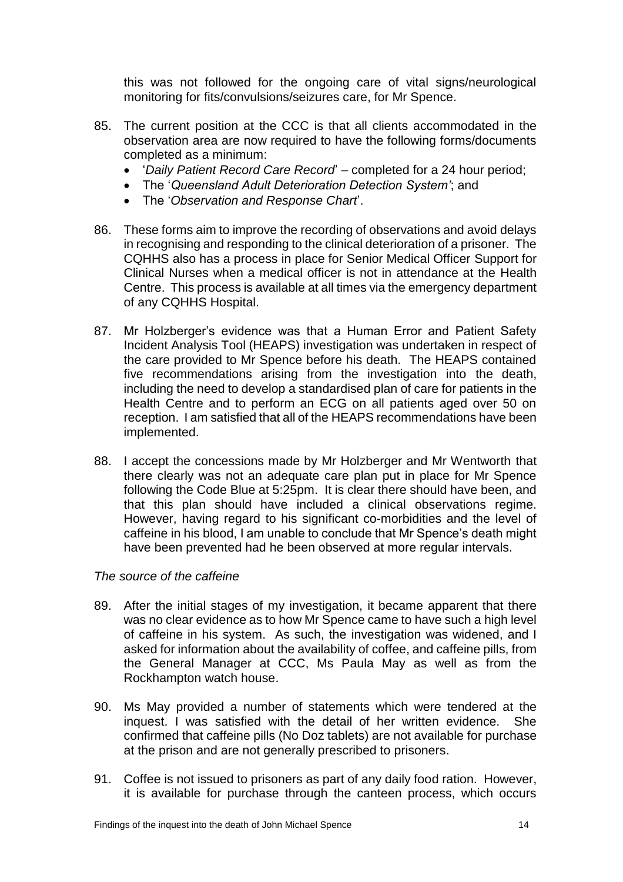this was not followed for the ongoing care of vital signs/neurological monitoring for fits/convulsions/seizures care, for Mr Spence.

- 85. The current position at the CCC is that all clients accommodated in the observation area are now required to have the following forms/documents completed as a minimum:
	- '*Daily Patient Record Care Record*' completed for a 24 hour period;
	- The '*Queensland Adult Deterioration Detection System'*; and
	- The '*Observation and Response Chart*'.
- 86. These forms aim to improve the recording of observations and avoid delays in recognising and responding to the clinical deterioration of a prisoner. The CQHHS also has a process in place for Senior Medical Officer Support for Clinical Nurses when a medical officer is not in attendance at the Health Centre. This process is available at all times via the emergency department of any CQHHS Hospital.
- 87. Mr Holzberger's evidence was that a Human Error and Patient Safety Incident Analysis Tool (HEAPS) investigation was undertaken in respect of the care provided to Mr Spence before his death. The HEAPS contained five recommendations arising from the investigation into the death, including the need to develop a standardised plan of care for patients in the Health Centre and to perform an ECG on all patients aged over 50 on reception. I am satisfied that all of the HEAPS recommendations have been implemented.
- 88. I accept the concessions made by Mr Holzberger and Mr Wentworth that there clearly was not an adequate care plan put in place for Mr Spence following the Code Blue at 5:25pm. It is clear there should have been, and that this plan should have included a clinical observations regime. However, having regard to his significant co-morbidities and the level of caffeine in his blood, I am unable to conclude that Mr Spence's death might have been prevented had he been observed at more regular intervals.

#### *The source of the caffeine*

- 89. After the initial stages of my investigation, it became apparent that there was no clear evidence as to how Mr Spence came to have such a high level of caffeine in his system. As such, the investigation was widened, and I asked for information about the availability of coffee, and caffeine pills, from the General Manager at CCC, Ms Paula May as well as from the Rockhampton watch house.
- 90. Ms May provided a number of statements which were tendered at the inquest. I was satisfied with the detail of her written evidence. She confirmed that caffeine pills (No Doz tablets) are not available for purchase at the prison and are not generally prescribed to prisoners.
- 91. Coffee is not issued to prisoners as part of any daily food ration. However, it is available for purchase through the canteen process, which occurs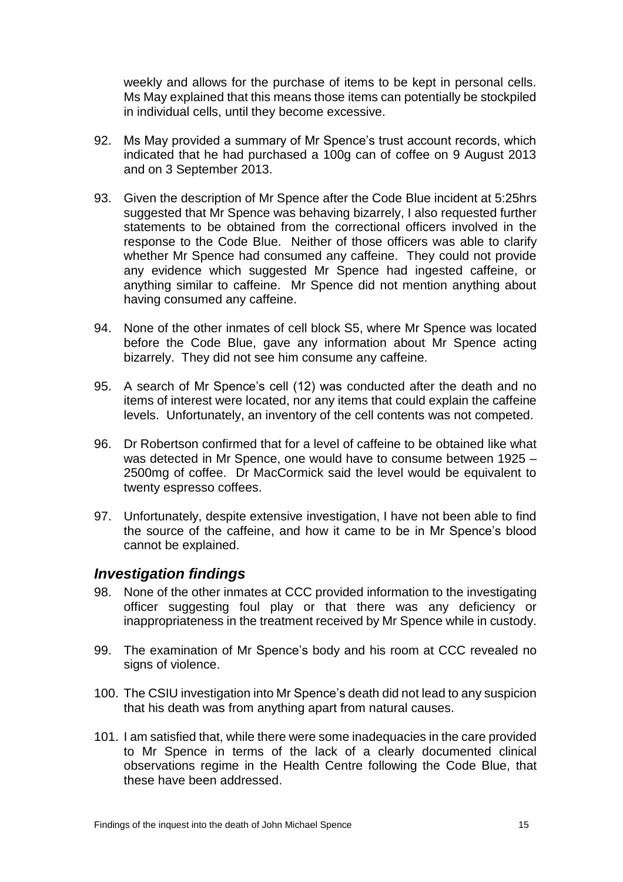weekly and allows for the purchase of items to be kept in personal cells. Ms May explained that this means those items can potentially be stockpiled in individual cells, until they become excessive.

- 92. Ms May provided a summary of Mr Spence's trust account records, which indicated that he had purchased a 100g can of coffee on 9 August 2013 and on 3 September 2013.
- 93. Given the description of Mr Spence after the Code Blue incident at 5:25hrs suggested that Mr Spence was behaving bizarrely, I also requested further statements to be obtained from the correctional officers involved in the response to the Code Blue. Neither of those officers was able to clarify whether Mr Spence had consumed any caffeine. They could not provide any evidence which suggested Mr Spence had ingested caffeine, or anything similar to caffeine. Mr Spence did not mention anything about having consumed any caffeine.
- 94. None of the other inmates of cell block S5, where Mr Spence was located before the Code Blue, gave any information about Mr Spence acting bizarrely. They did not see him consume any caffeine.
- 95. A search of Mr Spence's cell (12) was conducted after the death and no items of interest were located, nor any items that could explain the caffeine levels. Unfortunately, an inventory of the cell contents was not competed.
- 96. Dr Robertson confirmed that for a level of caffeine to be obtained like what was detected in Mr Spence, one would have to consume between 1925 – 2500mg of coffee. Dr MacCormick said the level would be equivalent to twenty espresso coffees.
- 97. Unfortunately, despite extensive investigation, I have not been able to find the source of the caffeine, and how it came to be in Mr Spence's blood cannot be explained.

### <span id="page-16-0"></span>*Investigation findings*

- 98. None of the other inmates at CCC provided information to the investigating officer suggesting foul play or that there was any deficiency or inappropriateness in the treatment received by Mr Spence while in custody.
- 99. The examination of Mr Spence's body and his room at CCC revealed no signs of violence.
- 100. The CSIU investigation into Mr Spence's death did not lead to any suspicion that his death was from anything apart from natural causes.
- 101. I am satisfied that, while there were some inadequacies in the care provided to Mr Spence in terms of the lack of a clearly documented clinical observations regime in the Health Centre following the Code Blue, that these have been addressed.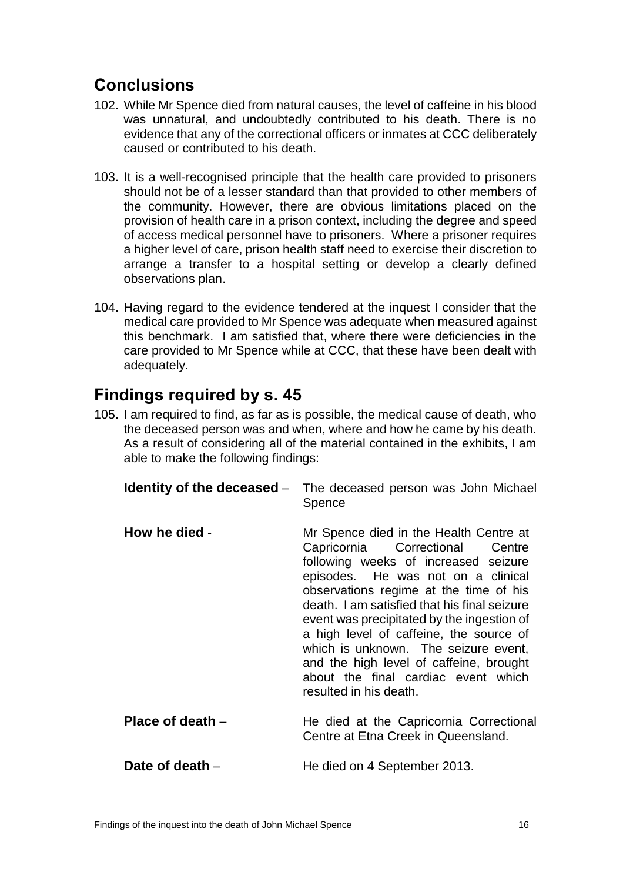## <span id="page-17-0"></span>**Conclusions**

- 102. While Mr Spence died from natural causes, the level of caffeine in his blood was unnatural, and undoubtedly contributed to his death. There is no evidence that any of the correctional officers or inmates at CCC deliberately caused or contributed to his death.
- 103. It is a well-recognised principle that the health care provided to prisoners should not be of a lesser standard than that provided to other members of the community. However, there are obvious limitations placed on the provision of health care in a prison context, including the degree and speed of access medical personnel have to prisoners. Where a prisoner requires a higher level of care, prison health staff need to exercise their discretion to arrange a transfer to a hospital setting or develop a clearly defined observations plan.
- 104. Having regard to the evidence tendered at the inquest I consider that the medical care provided to Mr Spence was adequate when measured against this benchmark. I am satisfied that, where there were deficiencies in the care provided to Mr Spence while at CCC, that these have been dealt with adequately.

## <span id="page-17-1"></span>**Findings required by s. 45**

105. I am required to find, as far as is possible, the medical cause of death, who the deceased person was and when, where and how he came by his death. As a result of considering all of the material contained in the exhibits, I am able to make the following findings:

<span id="page-17-5"></span><span id="page-17-4"></span><span id="page-17-3"></span><span id="page-17-2"></span>

|                  | <b>Identity of the deceased</b> – The deceased person was John Michael<br>Spence                                                                                                                                                                                                                                                                                                                                                                                                               |
|------------------|------------------------------------------------------------------------------------------------------------------------------------------------------------------------------------------------------------------------------------------------------------------------------------------------------------------------------------------------------------------------------------------------------------------------------------------------------------------------------------------------|
| How he died -    | Mr Spence died in the Health Centre at<br>Capricornia Correctional Centre<br>following weeks of increased seizure<br>episodes. He was not on a clinical<br>observations regime at the time of his<br>death. I am satisfied that his final seizure<br>event was precipitated by the ingestion of<br>a high level of caffeine, the source of<br>which is unknown. The seizure event,<br>and the high level of caffeine, brought<br>about the final cardiac event which<br>resulted in his death. |
| Place of death - | He died at the Capricornia Correctional<br>Centre at Etna Creek in Queensland.                                                                                                                                                                                                                                                                                                                                                                                                                 |
| Date of death –  | He died on 4 September 2013.                                                                                                                                                                                                                                                                                                                                                                                                                                                                   |